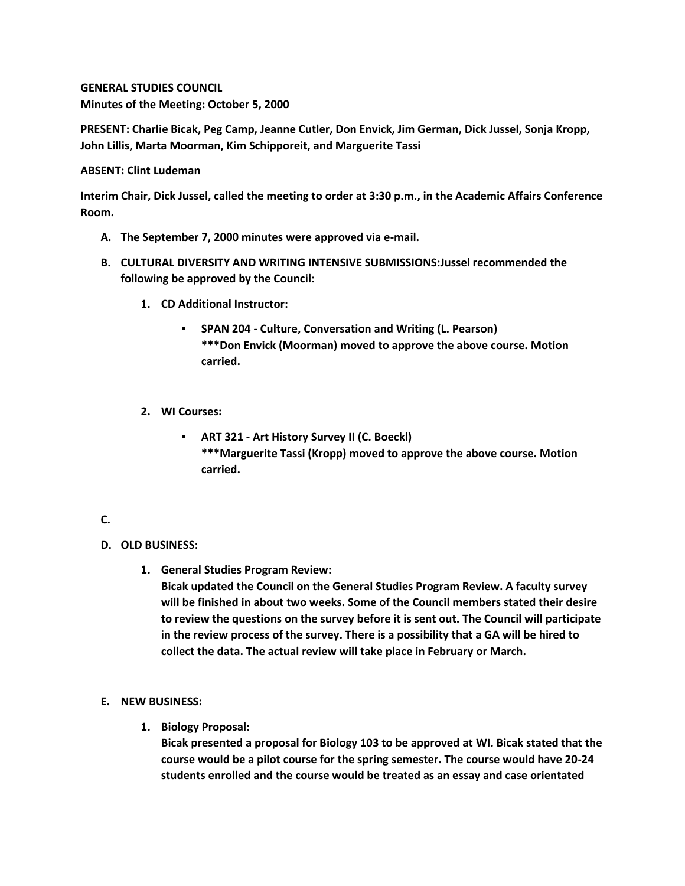## **GENERAL STUDIES COUNCIL Minutes of the Meeting: October 5, 2000**

**PRESENT: Charlie Bicak, Peg Camp, Jeanne Cutler, Don Envick, Jim German, Dick Jussel, Sonja Kropp, John Lillis, Marta Moorman, Kim Schipporeit, and Marguerite Tassi**

### **ABSENT: Clint Ludeman**

**Interim Chair, Dick Jussel, called the meeting to order at 3:30 p.m., in the Academic Affairs Conference Room.**

- **A. The September 7, 2000 minutes were approved via e-mail.**
- **B. CULTURAL DIVERSITY AND WRITING INTENSIVE SUBMISSIONS:Jussel recommended the following be approved by the Council:** 
	- **1. CD Additional Instructor:** 
		- **SPAN 204 - Culture, Conversation and Writing (L. Pearson) \*\*\*Don Envick (Moorman) moved to approve the above course. Motion carried.**
	- **2. WI Courses:** 
		- **ART 321 - Art History Survey II (C. Boeckl) \*\*\*Marguerite Tassi (Kropp) moved to approve the above course. Motion carried.**

# **C.**

### **D. OLD BUSINESS:**

**1. General Studies Program Review:**

**Bicak updated the Council on the General Studies Program Review. A faculty survey will be finished in about two weeks. Some of the Council members stated their desire to review the questions on the survey before it is sent out. The Council will participate in the review process of the survey. There is a possibility that a GA will be hired to collect the data. The actual review will take place in February or March.**

### **E. NEW BUSINESS:**

**1. Biology Proposal:**

**Bicak presented a proposal for Biology 103 to be approved at WI. Bicak stated that the course would be a pilot course for the spring semester. The course would have 20-24 students enrolled and the course would be treated as an essay and case orientated**